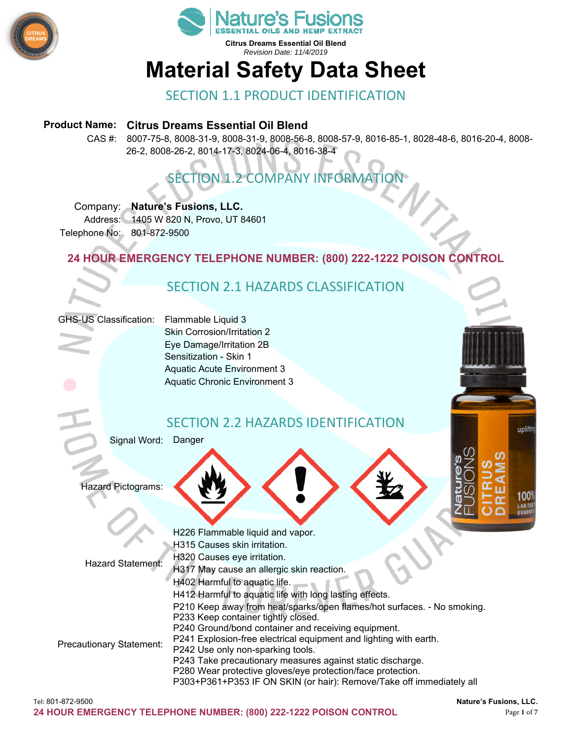



# **Material Safety Data Sheet**

# SECTION 1.1 PRODUCT IDENTIFICATION

### **Product Name: Citrus Dreams Essential Oil Blend**

CAS #: 8007-75-8, 8008-31-9, 8008-31-9, 8008-56-8, 8008-57-9, 8016-85-1, 8028-48-6, 8016-20-4, 8008- 26-2, 8008-26-2, 8014-17-3, 8024-06-4, 8016-38-4

# SECTION 1.2 COMPANY INFORMATION

Company: **Nature's Fusions, LLC.** 

Address: 1405 W 820 N, Provo, UT 84601 Telephone No: 801-872-9500

# **24 HOUR EMERGENCY TELEPHONE NUMBER: (800) 222-1222 POISON CONTROL**

# SECTION 2.1 HAZARDS CLASSIFICATION

### GHS-US Classification: Flammable Liquid 3

Skin Corrosion/Irritation 2 Eye Damage/Irritation 2B Sensitization - Skin 1 Aquatic Acute Environment 3 Aquatic Chronic Environment 3

# SECTION 2.2 HAZARDS IDENTIFICATION

Signal Word: Danger

Hazard Pictograms:

|                                 | H226 Flammable liquid and vapor.                                        |
|---------------------------------|-------------------------------------------------------------------------|
| Hazard Statement:               | H315 Causes skin irritation.                                            |
|                                 | H320 Causes eye irritation.                                             |
|                                 | H317 May cause an allergic skin reaction.                               |
|                                 | H402 Harmful to aquatic life.                                           |
| <b>Precautionary Statement:</b> | H412 Harmful to aquatic life with long lasting effects.                 |
|                                 | P210 Keep away from heat/sparks/open flames/hot surfaces. - No smoking. |
|                                 | P233 Keep container tightly closed.                                     |
|                                 | P240 Ground/bond container and receiving equipment.                     |
|                                 | P241 Explosion-free electrical equipment and lighting with earth.       |
|                                 | P242 Use only non-sparking tools.                                       |
|                                 | P243 Take precautionary measures against static discharge.              |
|                                 | P280 Wear protective gloves/eye protection/face protection.             |
|                                 | P303+P361+P353 IF ON SKIN (or hair): Remove/Take off immediately all    |
|                                 |                                                                         |

upliftin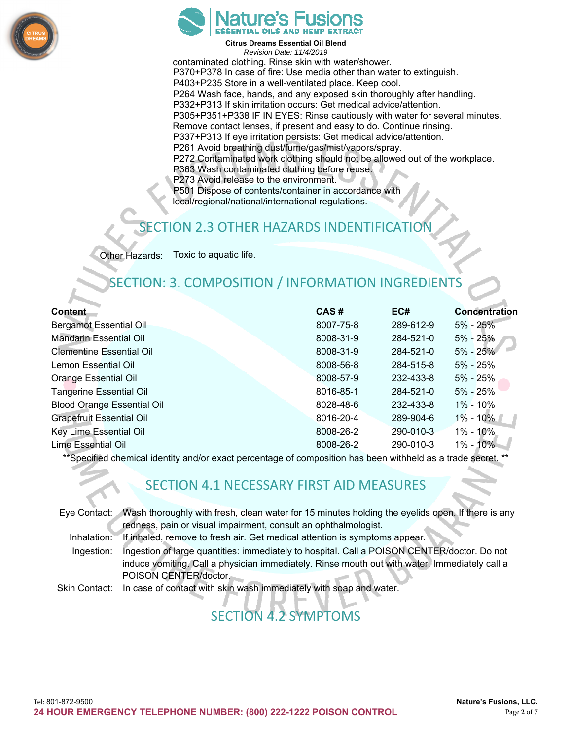



**Citrus Dreams Essential Oil Blend**  *Revision Date: 11/4/2019*  contaminated clothing. Rinse skin with water/shower. P370+P378 In case of fire: Use media other than water to extinguish. P403+P235 Store in a well-ventilated place. Keep cool. P264 Wash face, hands, and any exposed skin thoroughly after handling. P332+P313 If skin irritation occurs: Get medical advice/attention. P305+P351+P338 IF IN EYES: Rinse cautiously with water for several minutes. Remove contact lenses, if present and easy to do. Continue rinsing. P337+P313 If eye irritation persists: Get medical advice/attention. P261 Avoid breathing dust/fume/gas/mist/vapors/spray. P272 Contaminated work clothing should not be allowed out of the workplace. P363 Wash contaminated clothing before reuse. P273 Avoid release to the environment. P501 Dispose of contents/container in accordance with local/regional/national/international regulations.

# **ECTION 2.3 OTHER HAZARDS INDENTIFICATION**

Other Hazards: Toxic to aquatic life.

# SECTION: 3. COMPOSITION / INFORMATION INGREDIEN

| <b>Content</b>                    | CAS#      | EC#       | <b>Concentration</b> |
|-----------------------------------|-----------|-----------|----------------------|
| <b>Bergamot Essential Oil</b>     | 8007-75-8 | 289-612-9 | $5\%$ - 25%          |
| <b>Mandarin Essential Oil</b>     | 8008-31-9 | 284-521-0 | $5\%$ - 25%          |
| <b>Clementine Essential Oil</b>   | 8008-31-9 | 284-521-0 | $5\% - 25\%$         |
| Lemon Essential Oil               | 8008-56-8 | 284-515-8 | 5% - 25%             |
| <b>Orange Essential Oil</b>       | 8008-57-9 | 232-433-8 | $5\% - 25\%$         |
| <b>Tangerine Essential Oil</b>    | 8016-85-1 | 284-521-0 | 5% - 25%             |
| <b>Blood Orange Essential Oil</b> | 8028-48-6 | 232-433-8 | $1\% - 10\%$         |
| <b>Grapefruit Essential Oil</b>   | 8016-20-4 | 289-904-6 | $1\% - 10\%$         |
| Key Lime Essential Oil            | 8008-26-2 | 290-010-3 | 1% - 10%             |
| Lime Essential Oil                | 8008-26-2 | 290-010-3 | $1\% - 10\%$         |
|                                   |           |           |                      |

\*\*Specified chemical identity and/or exact percentage of composition has been withheld as a trade secret. \*\*

# SECTION 4.1 NECESSARY FIRST AID MEASURES

|             | Eye Contact: Wash thoroughly with fresh, clean water for 15 minutes holding the eyelids open. If there is any |
|-------------|---------------------------------------------------------------------------------------------------------------|
|             | redness, pain or visual impairment, consult an ophthalmologist.                                               |
| Inhalation: | If inhaled, remove to fresh air. Get medical attention is symptoms appear.                                    |
| Ingestion:  | Ingestion of large quantities: immediately to hospital. Call a POISON CENTER/doctor. Do not                   |
|             | induce vomiting. Call a physician immediately. Rinse mouth out with water. Immediately call a                 |
|             | POISON CENTER/doctor.                                                                                         |
|             | Skin Contact: In case of contact with skin wash immediately with soap and water.                              |
|             |                                                                                                               |

# SECTION 4.2 SYMPTOMS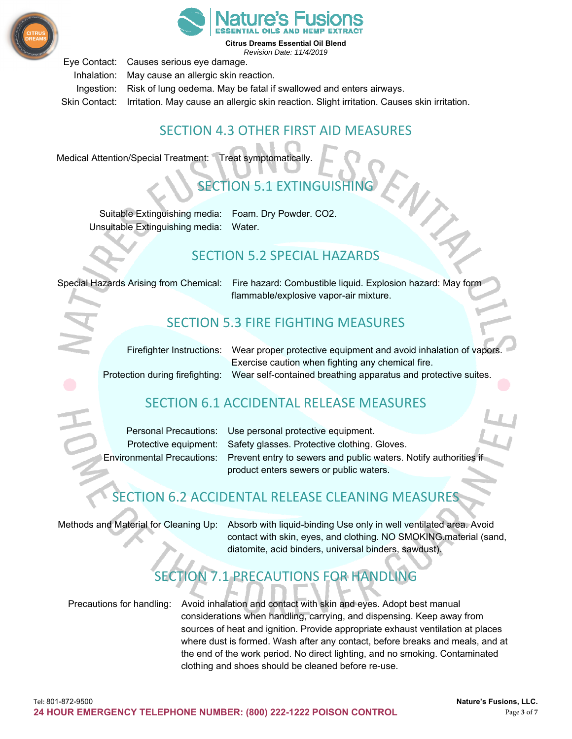



Eye Contact: Causes serious eye damage.

Inhalation: May cause an allergic skin reaction.

Ingestion: Risk of lung oedema. May be fatal if swallowed and enters airways.

Skin Contact: Irritation. May cause an allergic skin reaction. Slight irritation. Causes skin irritation.

# SECTION 4.3 OTHER FIRST AID MEASURES

Medical Attention/Special Treatment: Treat symptomatically.

# 1 EXTINGUISHING

Suitable Extinguishing media: Foam. Dry Powder. CO2. Unsuitable Extinguishing media: Water.

# SECTION 5.2 SPECIAL HAZARDS

Special Hazards Arising from Chemical: Fire hazard: Combustible liquid. Explosion hazard: May form flammable/explosive vapor-air mixture.

# SECTION 5.3 FIRE FIGHTING MEASURES

| Firefighter Instructions: Wear proper protective equipment and avoid inhalation of vapors.     |  |  |  |
|------------------------------------------------------------------------------------------------|--|--|--|
| Exercise caution when fighting any chemical fire.                                              |  |  |  |
| Protection during firefighting: Wear self-contained breathing apparatus and protective suites. |  |  |  |
|                                                                                                |  |  |  |

# SECTION 6.1 ACCIDENTAL RELEASE MEASURES

Personal Precautions: Use personal protective equipment. Protective equipment: Safety glasses. Protective clothing. Gloves. Environmental Precautions: Prevent entry to sewers and public waters. Notify authorities if product enters sewers or public waters.

# SECTION 6.2 ACCIDENTAL RELEASE CLEANING MEASURES

Methods and Material for Cleaning Up: Absorb with liquid-binding Use only in well ventilated area. Avoid contact with skin, eyes, and clothing. NO SMOKING.material (sand, diatomite, acid binders, universal binders, sawdust).

# SECTION 7.1 PRECAUTIONS FOR HANDLING

Precautions for handling: Avoid inhalation and contact with skin and eyes. Adopt best manual considerations when handling, carrying, and dispensing. Keep away from sources of heat and ignition. Provide appropriate exhaust ventilation at places where dust is formed. Wash after any contact, before breaks and meals, and at the end of the work period. No direct lighting, and no smoking. Contaminated clothing and shoes should be cleaned before re-use.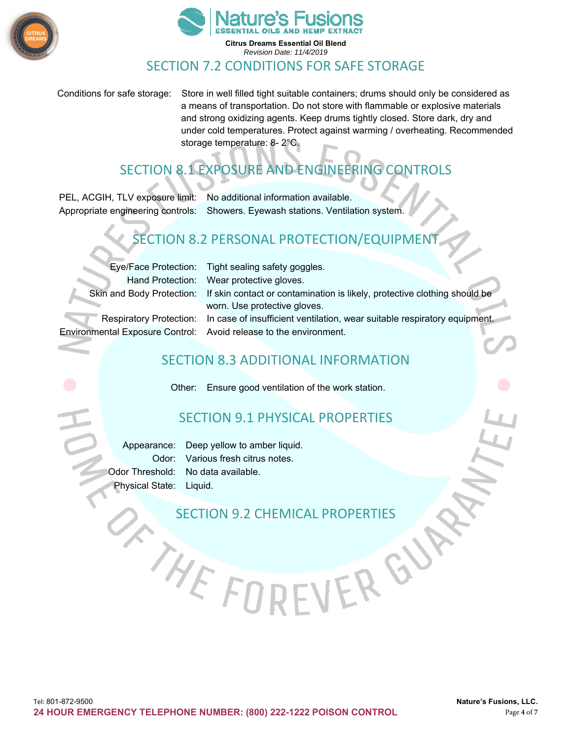



Conditions for safe storage: Store in well filled tight suitable containers; drums should only be considered as a means of transportation. Do not store with flammable or explosive materials and strong oxidizing agents. Keep drums tightly closed. Store dark, dry and under cold temperatures. Protect against warming / overheating. Recommended storage temperature: 8- 2°C.

# SECTION 8.1 EXPOSURE AND ENGINEERING CONTROLS

PEL, ACGIH, TLV exposure limit: No additional information available. Appropriate engineering controls: Showers. Eyewash stations. Ventilation system.

# SECTION 8.2 PERSONAL PROTECTION/EQUIPMEI

Eye/Face Protection: Tight sealing safety goggles. Hand Protection: Wear protective gloves. Skin and Body Protection: If skin contact or contamination is likely, protective clothing should be worn. Use protective gloves. Respiratory Protection: In case of insufficient ventilation, wear suitable respiratory equipment. Environmental Exposure Control: Avoid release to the environment.

# SECTION 8.3 ADDITIONAL INFORMATION

Other: Ensure good ventilation of the work station.

# SECTION 9.1 PHYSICAL PROPERTIES

Appearance: Deep yellow to amber liquid. Odor: Various fresh citrus notes. Odor Threshold: No data available. Physical State: Liquid.

THEFO

# SECTION 9.2 CHEMICAL PROPERTIES

VERGU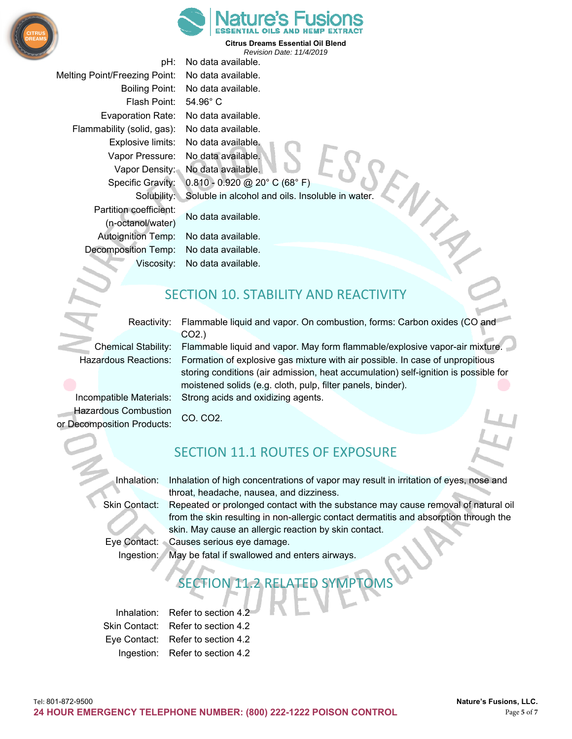



pH: No data available. Melting Point/Freezing Point: No data available. Boiling Point: No data available. Flash Point: 54.96° C Evaporation Rate: No data available. Flammability (solid, gas): No data available. Explosive limits: No data available. Vapor Pressure: No data available. Vapor Density: No data available. Specific Gravity: 0.810 - 0.920 @ 20° C (68° F) Solubility: Soluble in alcohol and oils. Insoluble in water. Partition coefficient: No data available. (n-octanol/water) Autoignition Temp: No data available. Decomposition Temp: No data available. Viscosity: No data available.

# SECTION 10. STABILITY AND REACTIVITY

Reactivity: Flammable liquid and vapor. On combustion, forms: Carbon oxides (CO and

CO2.) Chemical Stability: Flammable liquid and vapor. May form flammable/explosive vapor-air mixture. Hazardous Reactions: Formation of explosive gas mixture with air possible. In case of unpropitious storing conditions (air admission, heat accumulation) self-ignition is possible for moistened solids (e.g. cloth, pulp, filter panels, binder). Incompatible Materials: Strong acids and oxidizing agents.

Hazardous Combustion CO. CO2. or Decomposition Products:

# SECTION 11.1 ROUTES OF EXPOSURE

Inhalation: Inhalation of high concentrations of vapor may result in irritation of eyes, nose and throat, headache, nausea, and dizziness.

Skin Contact: Repeated or prolonged contact with the substance may cause removal of natural oil from the skin resulting in non-allergic contact dermatitis and absorption through the skin. May cause an allergic reaction by skin contact.

Eye Contact: Causes serious eye damage.

Ingestion: May be fatal if swallowed and enters airways.

# SECTION 11.2 RELATED SYMPTOMS

Inhalation: Refer to section 4.2 Skin Contact: Refer to section 4.2 Eye Contact: Refer to section 4.2 Ingestion: Refer to section 4.2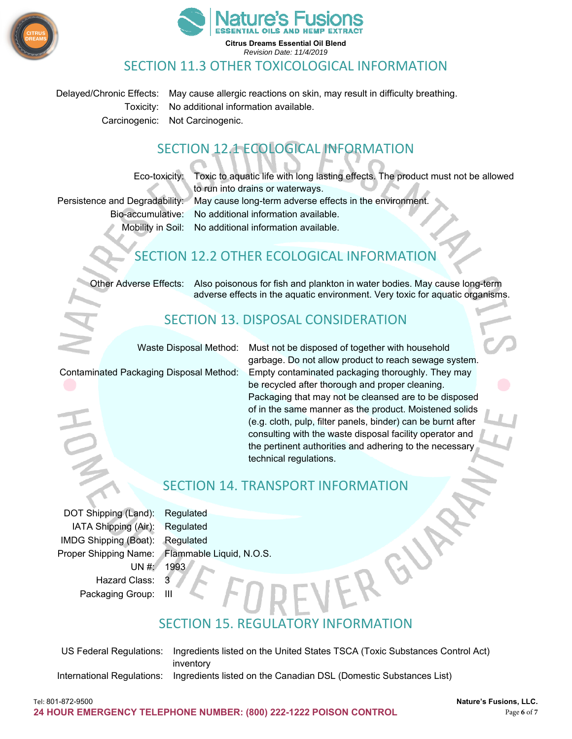



### SECTION 11.3 OTHER TOXICOLOGICAL INFORMATION

Delayed/Chronic Effects: May cause allergic reactions on skin, may result in difficulty breathing. Toxicity: No additional information available. Carcinogenic: Not Carcinogenic.

# SECTION 12.1 ECOLOGICAL INFORMATION

Eco-toxicity: Toxic to aquatic life with long lasting effects. The product must not be allowed

to run into drains or waterways. Persistence and Degradability: May cause long-term adverse effects in the environment. Bio-accumulative: No additional information available.

Mobility in Soil: No additional information available.

# SECTION 12.2 OTHER ECOLOGICAL INFORMATION

Other Adverse Effects: Also poisonous for fish and plankton in water bodies. May cause long-term adverse effects in the aquatic environment. Very toxic for aquatic organisms.

# SECTION 13. DISPOSAL CONSIDERATION

Waste Disposal Method: Must not be disposed of together with household

garbage. Do not allow product to reach sewage system. Contaminated Packaging Disposal Method: Empty contaminated packaging thoroughly. They may be recycled after thorough and proper cleaning. Packaging that may not be cleansed are to be disposed of in the same manner as the product. Moistened solids (e.g. cloth, pulp, filter panels, binder) can be burnt after consulting with the waste disposal facility operator and the pertinent authorities and adhering to the necessary technical regulations.

# SECTION 14. TRANSPORT INFORMATION

DOT Shipping (Land): Regulated IATA Shipping (Air): Regulated IMDG Shipping (Boat): Regulated Proper Shipping Name: Flammable Liquid, N.O.S.  $UN #: 1993$ Hazard Class: 3 Packaging Group:

# SECTION 15. REGULATORY INFORMATION

US Federal Regulations: Ingredients listed on the United States TSCA (Toxic Substances Control Act) inventory International Regulations: Ingredients listed on the Canadian DSL (Domestic Substances List)